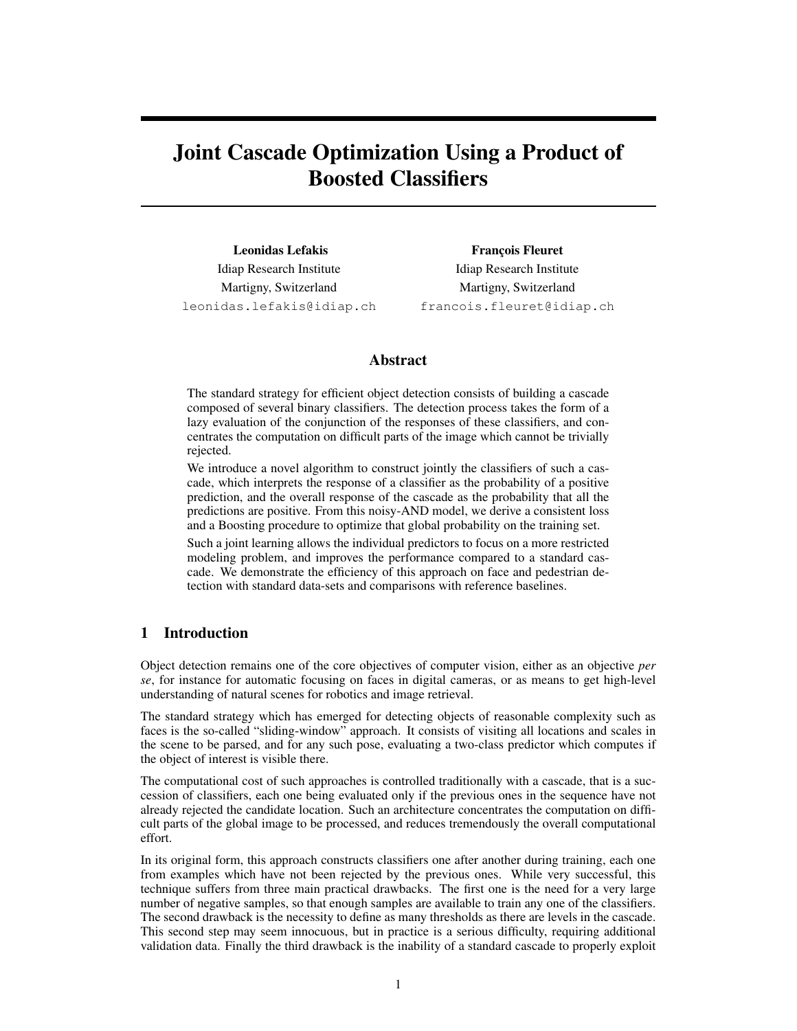# Joint Cascade Optimization Using a Product of Boosted Classifiers

Leonidas Lefakis Idiap Research Institute Martigny, Switzerland leonidas.lefakis@idiap.ch

François Fleuret Idiap Research Institute Martigny, Switzerland francois.fleuret@idiap.ch

## Abstract

The standard strategy for efficient object detection consists of building a cascade composed of several binary classifiers. The detection process takes the form of a lazy evaluation of the conjunction of the responses of these classifiers, and concentrates the computation on difficult parts of the image which cannot be trivially rejected.

We introduce a novel algorithm to construct jointly the classifiers of such a cascade, which interprets the response of a classifier as the probability of a positive prediction, and the overall response of the cascade as the probability that all the predictions are positive. From this noisy-AND model, we derive a consistent loss and a Boosting procedure to optimize that global probability on the training set.

Such a joint learning allows the individual predictors to focus on a more restricted modeling problem, and improves the performance compared to a standard cascade. We demonstrate the efficiency of this approach on face and pedestrian detection with standard data-sets and comparisons with reference baselines.

# 1 Introduction

Object detection remains one of the core objectives of computer vision, either as an objective *per se*, for instance for automatic focusing on faces in digital cameras, or as means to get high-level understanding of natural scenes for robotics and image retrieval.

The standard strategy which has emerged for detecting objects of reasonable complexity such as faces is the so-called "sliding-window" approach. It consists of visiting all locations and scales in the scene to be parsed, and for any such pose, evaluating a two-class predictor which computes if the object of interest is visible there.

The computational cost of such approaches is controlled traditionally with a cascade, that is a succession of classifiers, each one being evaluated only if the previous ones in the sequence have not already rejected the candidate location. Such an architecture concentrates the computation on difficult parts of the global image to be processed, and reduces tremendously the overall computational effort.

In its original form, this approach constructs classifiers one after another during training, each one from examples which have not been rejected by the previous ones. While very successful, this technique suffers from three main practical drawbacks. The first one is the need for a very large number of negative samples, so that enough samples are available to train any one of the classifiers. The second drawback is the necessity to define as many thresholds as there are levels in the cascade. This second step may seem innocuous, but in practice is a serious difficulty, requiring additional validation data. Finally the third drawback is the inability of a standard cascade to properly exploit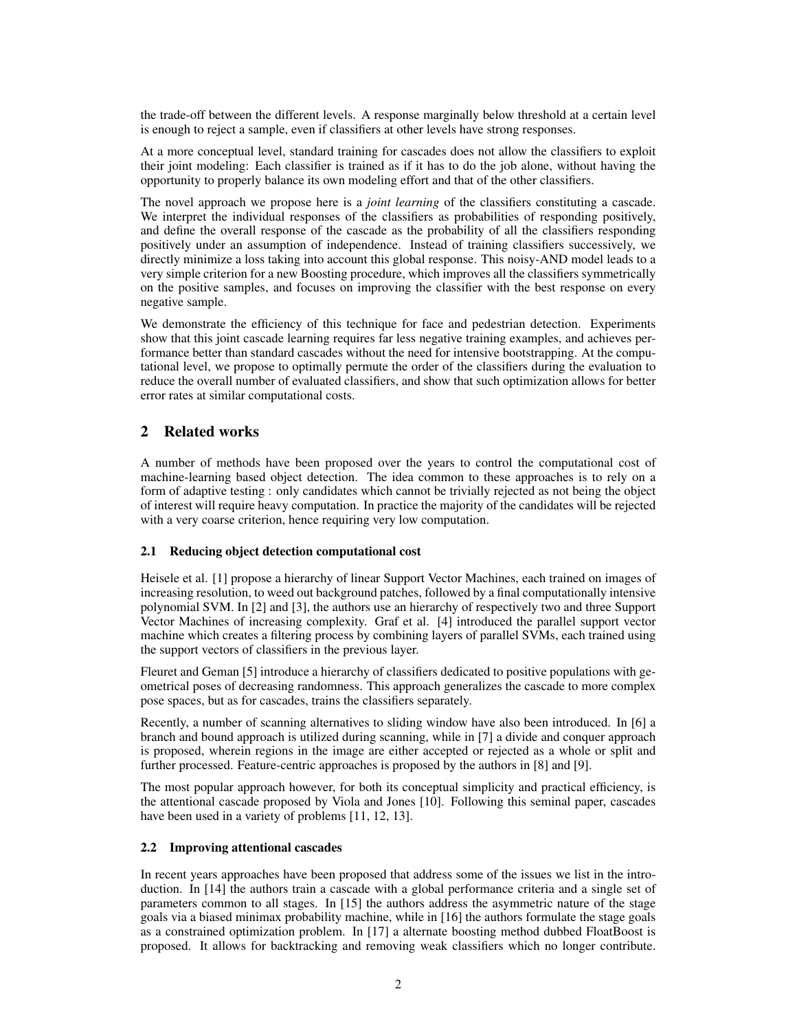the trade-off between the different levels. A response marginally below threshold at a certain level is enough to reject a sample, even if classifiers at other levels have strong responses.

At a more conceptual level, standard training for cascades does not allow the classifiers to exploit their joint modeling: Each classifier is trained as if it has to do the job alone, without having the opportunity to properly balance its own modeling effort and that of the other classifiers.

The novel approach we propose here is a *joint learning* of the classifiers constituting a cascade. We interpret the individual responses of the classifiers as probabilities of responding positively, and define the overall response of the cascade as the probability of all the classifiers responding positively under an assumption of independence. Instead of training classifiers successively, we directly minimize a loss taking into account this global response. This noisy-AND model leads to a very simple criterion for a new Boosting procedure, which improves all the classifiers symmetrically on the positive samples, and focuses on improving the classifier with the best response on every negative sample.

We demonstrate the efficiency of this technique for face and pedestrian detection. Experiments show that this joint cascade learning requires far less negative training examples, and achieves performance better than standard cascades without the need for intensive bootstrapping. At the computational level, we propose to optimally permute the order of the classifiers during the evaluation to reduce the overall number of evaluated classifiers, and show that such optimization allows for better error rates at similar computational costs.

# 2 Related works

A number of methods have been proposed over the years to control the computational cost of machine-learning based object detection. The idea common to these approaches is to rely on a form of adaptive testing : only candidates which cannot be trivially rejected as not being the object of interest will require heavy computation. In practice the majority of the candidates will be rejected with a very coarse criterion, hence requiring very low computation.

## 2.1 Reducing object detection computational cost

Heisele et al. [1] propose a hierarchy of linear Support Vector Machines, each trained on images of increasing resolution, to weed out background patches, followed by a final computationally intensive polynomial SVM. In [2] and [3], the authors use an hierarchy of respectively two and three Support Vector Machines of increasing complexity. Graf et al. [4] introduced the parallel support vector machine which creates a filtering process by combining layers of parallel SVMs, each trained using the support vectors of classifiers in the previous layer.

Fleuret and Geman [5] introduce a hierarchy of classifiers dedicated to positive populations with geometrical poses of decreasing randomness. This approach generalizes the cascade to more complex pose spaces, but as for cascades, trains the classifiers separately.

Recently, a number of scanning alternatives to sliding window have also been introduced. In [6] a branch and bound approach is utilized during scanning, while in [7] a divide and conquer approach is proposed, wherein regions in the image are either accepted or rejected as a whole or split and further processed. Feature-centric approaches is proposed by the authors in [8] and [9].

The most popular approach however, for both its conceptual simplicity and practical efficiency, is the attentional cascade proposed by Viola and Jones [10]. Following this seminal paper, cascades have been used in a variety of problems [11, 12, 13].

## 2.2 Improving attentional cascades

In recent years approaches have been proposed that address some of the issues we list in the introduction. In [14] the authors train a cascade with a global performance criteria and a single set of parameters common to all stages. In [15] the authors address the asymmetric nature of the stage goals via a biased minimax probability machine, while in [16] the authors formulate the stage goals as a constrained optimization problem. In [17] a alternate boosting method dubbed FloatBoost is proposed. It allows for backtracking and removing weak classifiers which no longer contribute.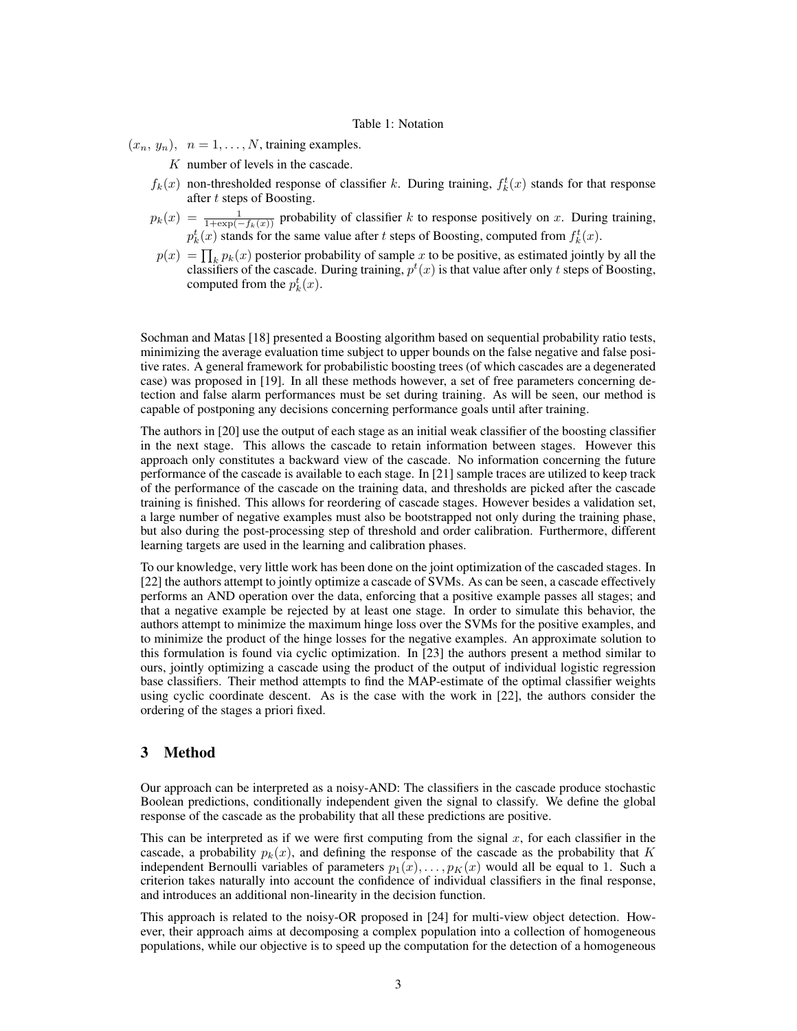#### Table 1: Notation

- $(x_n, y_n), n = 1, \ldots, N$ , training examples.
	- K number of levels in the cascade.
	- $f_k(x)$  non-thresholded response of classifier k. During training,  $f_k^t(x)$  stands for that response after t steps of Boosting.
	- $p_k(x) = \frac{1}{1 + \exp(-f_k(x))}$  probability of classifier k to response positively on x. During training,  $p_k^t(x)$  stands for the same value after t steps of Boosting, computed from  $f_k^t(x)$ .
	- $p(x) = \prod_k p_k(x)$  posterior probability of sample x to be positive, as estimated jointly by all the classifiers of the cascade. During training,  $p<sup>t</sup>(x)$  is that value after only t steps of Boosting, computed from the  $p_k^t(x)$ .

Sochman and Matas [18] presented a Boosting algorithm based on sequential probability ratio tests, minimizing the average evaluation time subject to upper bounds on the false negative and false positive rates. A general framework for probabilistic boosting trees (of which cascades are a degenerated case) was proposed in [19]. In all these methods however, a set of free parameters concerning detection and false alarm performances must be set during training. As will be seen, our method is capable of postponing any decisions concerning performance goals until after training.

The authors in [20] use the output of each stage as an initial weak classifier of the boosting classifier in the next stage. This allows the cascade to retain information between stages. However this approach only constitutes a backward view of the cascade. No information concerning the future performance of the cascade is available to each stage. In [21] sample traces are utilized to keep track of the performance of the cascade on the training data, and thresholds are picked after the cascade training is finished. This allows for reordering of cascade stages. However besides a validation set, a large number of negative examples must also be bootstrapped not only during the training phase, but also during the post-processing step of threshold and order calibration. Furthermore, different learning targets are used in the learning and calibration phases.

To our knowledge, very little work has been done on the joint optimization of the cascaded stages. In [22] the authors attempt to jointly optimize a cascade of SVMs. As can be seen, a cascade effectively performs an AND operation over the data, enforcing that a positive example passes all stages; and that a negative example be rejected by at least one stage. In order to simulate this behavior, the authors attempt to minimize the maximum hinge loss over the SVMs for the positive examples, and to minimize the product of the hinge losses for the negative examples. An approximate solution to this formulation is found via cyclic optimization. In [23] the authors present a method similar to ours, jointly optimizing a cascade using the product of the output of individual logistic regression base classifiers. Their method attempts to find the MAP-estimate of the optimal classifier weights using cyclic coordinate descent. As is the case with the work in [22], the authors consider the ordering of the stages a priori fixed.

## 3 Method

Our approach can be interpreted as a noisy-AND: The classifiers in the cascade produce stochastic Boolean predictions, conditionally independent given the signal to classify. We define the global response of the cascade as the probability that all these predictions are positive.

This can be interpreted as if we were first computing from the signal  $x$ , for each classifier in the cascade, a probability  $p_k(x)$ , and defining the response of the cascade as the probability that K independent Bernoulli variables of parameters  $p_1(x), \ldots, p_k(x)$  would all be equal to 1. Such a criterion takes naturally into account the confidence of individual classifiers in the final response, and introduces an additional non-linearity in the decision function.

This approach is related to the noisy-OR proposed in [24] for multi-view object detection. However, their approach aims at decomposing a complex population into a collection of homogeneous populations, while our objective is to speed up the computation for the detection of a homogeneous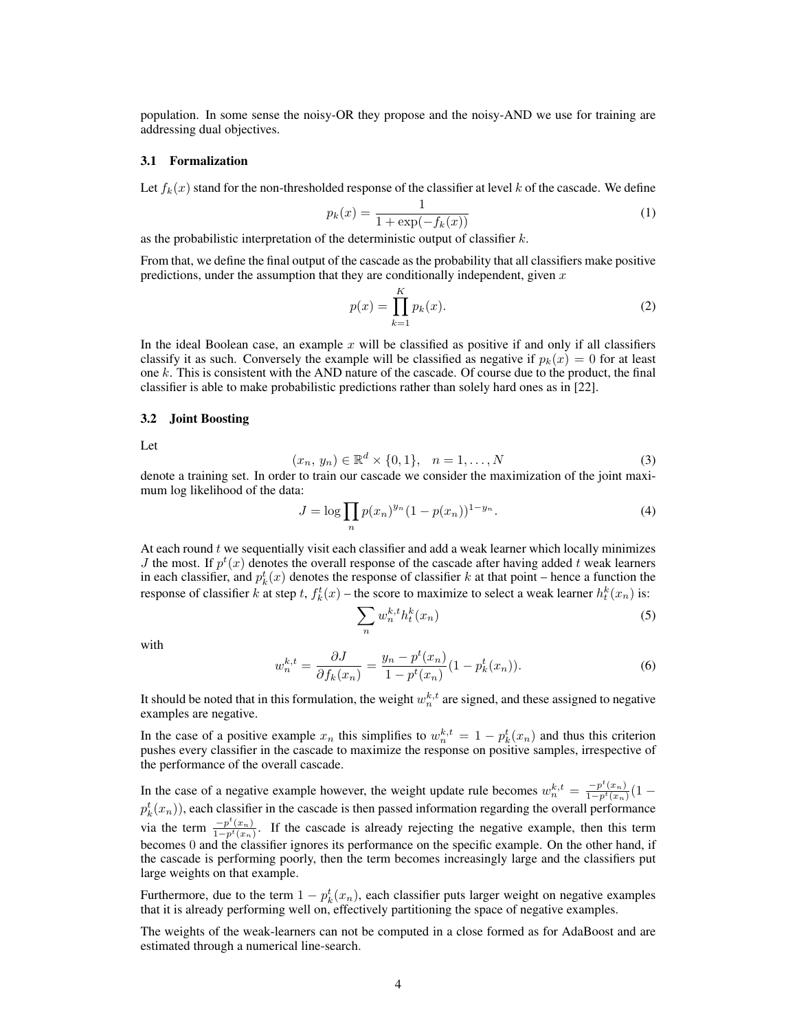population. In some sense the noisy-OR they propose and the noisy-AND we use for training are addressing dual objectives.

#### 3.1 Formalization

Let  $f_k(x)$  stand for the non-thresholded response of the classifier at level k of the cascade. We define

$$
p_k(x) = \frac{1}{1 + \exp(-f_k(x))}
$$
 (1)

as the probabilistic interpretation of the deterministic output of classifier  $k$ .

From that, we define the final output of the cascade as the probability that all classifiers make positive predictions, under the assumption that they are conditionally independent, given  $x$ 

$$
p(x) = \prod_{k=1}^{K} p_k(x).
$$
 (2)

In the ideal Boolean case, an example  $x$  will be classified as positive if and only if all classifiers classify it as such. Conversely the example will be classified as negative if  $p_k(x) = 0$  for at least one  $k$ . This is consistent with the AND nature of the cascade. Of course due to the product, the final classifier is able to make probabilistic predictions rather than solely hard ones as in [22].

#### 3.2 Joint Boosting

Let

$$
(x_n, y_n) \in \mathbb{R}^d \times \{0, 1\}, \quad n = 1, \dots, N
$$
 (3)

denote a training set. In order to train our cascade we consider the maximization of the joint maximum log likelihood of the data:

$$
J = \log \prod_{n} p(x_n)^{y_n} (1 - p(x_n))^{1 - y_n}.
$$
 (4)

At each round  $t$  we sequentially visit each classifier and add a weak learner which locally minimizes *J* the most. If  $p^t(x)$  denotes the overall response of the cascade after having added t weak learners in each classifier, and  $p_k^t(x)$  denotes the response of classifier k at that point – hence a function the response of classifier k at step t,  $f_k^t(x)$  – the score to maximize to select a weak learner  $h_t^k(x_n)$  is:

$$
\sum_{n} w_n^{k,t} h_t^k(x_n) \tag{5}
$$

with

$$
w_n^{k,t} = \frac{\partial J}{\partial f_k(x_n)} = \frac{y_n - p^t(x_n)}{1 - p^t(x_n)} (1 - p_k^t(x_n)).
$$
\n(6)

It should be noted that in this formulation, the weight  $w_n^{k,t}$  are signed, and these assigned to negative examples are negative.

In the case of a positive example  $x_n$  this simplifies to  $w_n^{k,t} = 1 - p_k^t(x_n)$  and thus this criterion pushes every classifier in the cascade to maximize the response on positive samples, irrespective of the performance of the overall cascade.

In the case of a negative example however, the weight update rule becomes  $w_n^{k,t} = \frac{-p^t(x_n)}{1-p^t(x_n)}(1$  $p_k^t(x_n)$ ), each classifier in the cascade is then passed information regarding the overall performance via the term  $\frac{-p^t(x_n)}{1-p^t(x_n)}$ . If the cascade is already rejecting the negative example, then this term becomes 0 and the classifier ignores its performance on the specific example. On the other hand, if the cascade is performing poorly, then the term becomes increasingly large and the classifiers put large weights on that example.

Furthermore, due to the term  $1 - p_k^t(x_n)$ , each classifier puts larger weight on negative examples that it is already performing well on, effectively partitioning the space of negative examples.

The weights of the weak-learners can not be computed in a close formed as for AdaBoost and are estimated through a numerical line-search.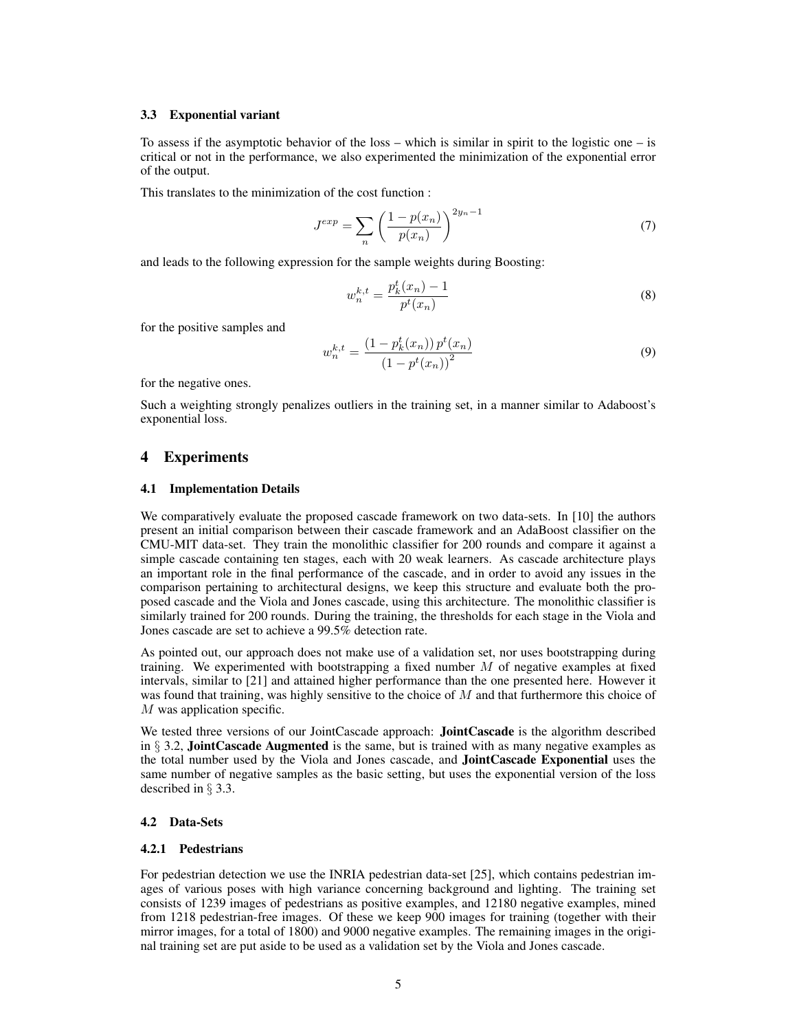#### 3.3 Exponential variant

To assess if the asymptotic behavior of the loss – which is similar in spirit to the logistic one – is critical or not in the performance, we also experimented the minimization of the exponential error of the output.

This translates to the minimization of the cost function :

$$
J^{exp} = \sum_{n} \left(\frac{1 - p(x_n)}{p(x_n)}\right)^{2y_n - 1}
$$
 (7)

and leads to the following expression for the sample weights during Boosting:

$$
w_n^{k,t} = \frac{p_k^t(x_n) - 1}{p^t(x_n)}
$$
\n(8)

for the positive samples and

$$
w_n^{k,t} = \frac{\left(1 - p_k^t(x_n)\right) p^t(x_n)}{\left(1 - p^t(x_n)\right)^2} \tag{9}
$$

for the negative ones.

Such a weighting strongly penalizes outliers in the training set, in a manner similar to Adaboost's exponential loss.

# 4 Experiments

#### 4.1 Implementation Details

We comparatively evaluate the proposed cascade framework on two data-sets. In [10] the authors present an initial comparison between their cascade framework and an AdaBoost classifier on the CMU-MIT data-set. They train the monolithic classifier for 200 rounds and compare it against a simple cascade containing ten stages, each with 20 weak learners. As cascade architecture plays an important role in the final performance of the cascade, and in order to avoid any issues in the comparison pertaining to architectural designs, we keep this structure and evaluate both the proposed cascade and the Viola and Jones cascade, using this architecture. The monolithic classifier is similarly trained for 200 rounds. During the training, the thresholds for each stage in the Viola and Jones cascade are set to achieve a 99.5% detection rate.

As pointed out, our approach does not make use of a validation set, nor uses bootstrapping during training. We experimented with bootstrapping a fixed number  $M$  of negative examples at fixed intervals, similar to [21] and attained higher performance than the one presented here. However it was found that training, was highly sensitive to the choice of  $M$  and that furthermore this choice of M was application specific.

We tested three versions of our JointCascade approach: **JointCascade** is the algorithm described in  $\S$  3.2, **JointCascade Augmented** is the same, but is trained with as many negative examples as the total number used by the Viola and Jones cascade, and JointCascade Exponential uses the same number of negative samples as the basic setting, but uses the exponential version of the loss described in § 3.3.

#### 4.2 Data-Sets

#### 4.2.1 Pedestrians

For pedestrian detection we use the INRIA pedestrian data-set [25], which contains pedestrian images of various poses with high variance concerning background and lighting. The training set consists of 1239 images of pedestrians as positive examples, and 12180 negative examples, mined from 1218 pedestrian-free images. Of these we keep 900 images for training (together with their mirror images, for a total of 1800) and 9000 negative examples. The remaining images in the original training set are put aside to be used as a validation set by the Viola and Jones cascade.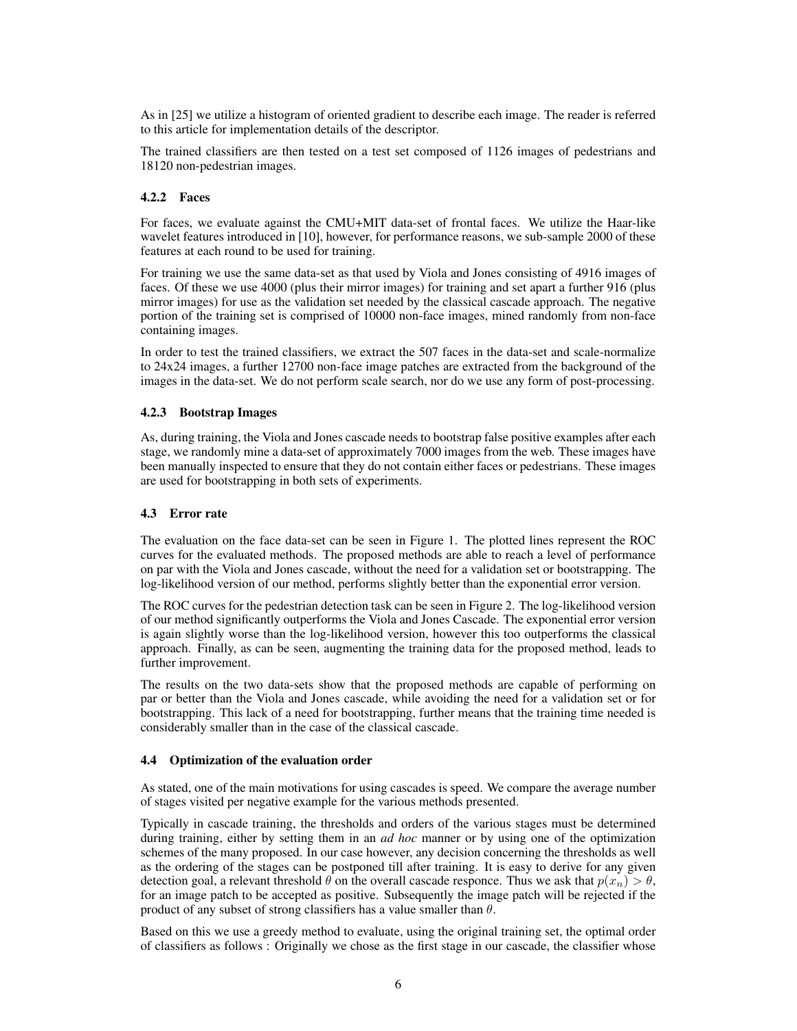As in [25] we utilize a histogram of oriented gradient to describe each image. The reader is referred to this article for implementation details of the descriptor.

The trained classifiers are then tested on a test set composed of 1126 images of pedestrians and 18120 non-pedestrian images.

## 4.2.2 Faces

For faces, we evaluate against the CMU+MIT data-set of frontal faces. We utilize the Haar-like wavelet features introduced in [10], however, for performance reasons, we sub-sample 2000 of these features at each round to be used for training.

For training we use the same data-set as that used by Viola and Jones consisting of 4916 images of faces. Of these we use 4000 (plus their mirror images) for training and set apart a further 916 (plus mirror images) for use as the validation set needed by the classical cascade approach. The negative portion of the training set is comprised of 10000 non-face images, mined randomly from non-face containing images.

In order to test the trained classifiers, we extract the 507 faces in the data-set and scale-normalize to 24x24 images, a further 12700 non-face image patches are extracted from the background of the images in the data-set. We do not perform scale search, nor do we use any form of post-processing.

## 4.2.3 Bootstrap Images

As, during training, the Viola and Jones cascade needs to bootstrap false positive examples after each stage, we randomly mine a data-set of approximately 7000 images from the web. These images have been manually inspected to ensure that they do not contain either faces or pedestrians. These images are used for bootstrapping in both sets of experiments.

## 4.3 Error rate

The evaluation on the face data-set can be seen in Figure 1. The plotted lines represent the ROC curves for the evaluated methods. The proposed methods are able to reach a level of performance on par with the Viola and Jones cascade, without the need for a validation set or bootstrapping. The log-likelihood version of our method, performs slightly better than the exponential error version.

The ROC curves for the pedestrian detection task can be seen in Figure 2. The log-likelihood version of our method significantly outperforms the Viola and Jones Cascade. The exponential error version is again slightly worse than the log-likelihood version, however this too outperforms the classical approach. Finally, as can be seen, augmenting the training data for the proposed method, leads to further improvement.

The results on the two data-sets show that the proposed methods are capable of performing on par or better than the Viola and Jones cascade, while avoiding the need for a validation set or for bootstrapping. This lack of a need for bootstrapping, further means that the training time needed is considerably smaller than in the case of the classical cascade.

## 4.4 Optimization of the evaluation order

As stated, one of the main motivations for using cascades is speed. We compare the average number of stages visited per negative example for the various methods presented.

Typically in cascade training, the thresholds and orders of the various stages must be determined during training, either by setting them in an *ad hoc* manner or by using one of the optimization schemes of the many proposed. In our case however, any decision concerning the thresholds as well as the ordering of the stages can be postponed till after training. It is easy to derive for any given detection goal, a relevant threshold  $\theta$  on the overall cascade responce. Thus we ask that  $p(x_n) > \theta$ , for an image patch to be accepted as positive. Subsequently the image patch will be rejected if the product of any subset of strong classifiers has a value smaller than  $\theta$ .

Based on this we use a greedy method to evaluate, using the original training set, the optimal order of classifiers as follows : Originally we chose as the first stage in our cascade, the classifier whose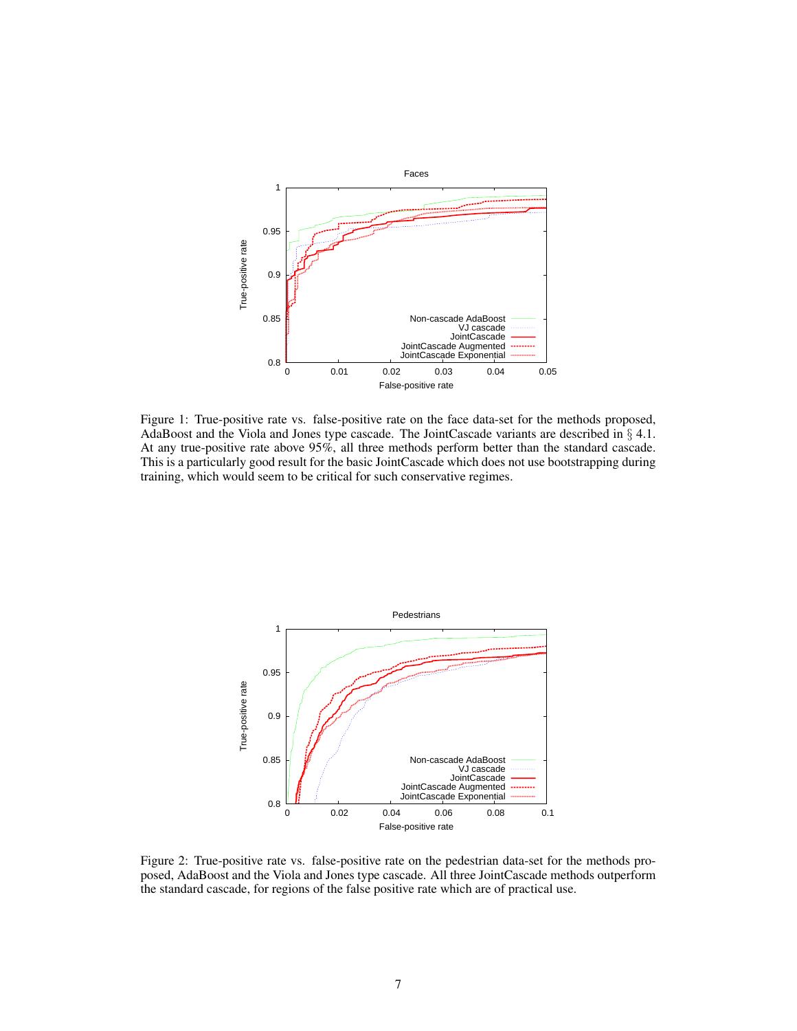

Figure 1: True-positive rate vs. false-positive rate on the face data-set for the methods proposed, AdaBoost and the Viola and Jones type cascade. The JointCascade variants are described in § 4.1. At any true-positive rate above 95%, all three methods perform better than the standard cascade. This is a particularly good result for the basic JointCascade which does not use bootstrapping during training, which would seem to be critical for such conservative regimes.



Figure 2: True-positive rate vs. false-positive rate on the pedestrian data-set for the methods proposed, AdaBoost and the Viola and Jones type cascade. All three JointCascade methods outperform the standard cascade, for regions of the false positive rate which are of practical use.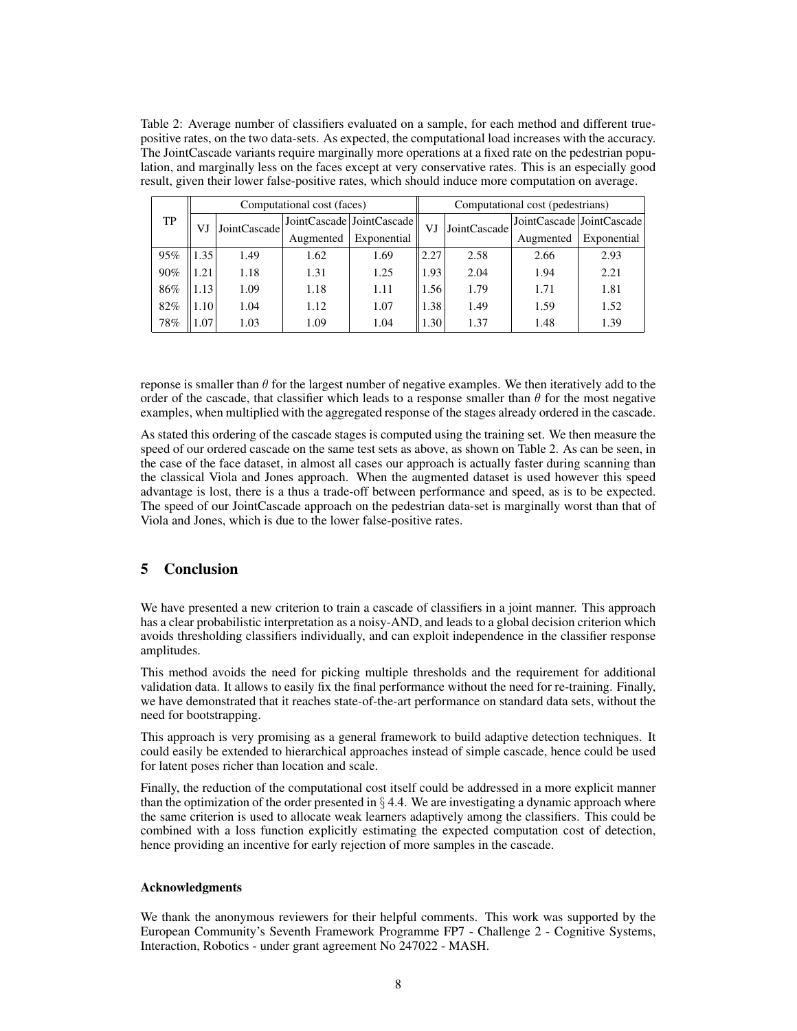Table 2: Average number of classifiers evaluated on a sample, for each method and different truepositive rates, on the two data-sets. As expected, the computational load increases with the accuracy. The JointCascade variants require marginally more operations at a fixed rate on the pedestrian population, and marginally less on the faces except at very conservative rates. This is an especially good result, given their lower false-positive rates, which should induce more computation on average.

| TP  | Computational cost (faces) |              |           |                             | Computational cost (pedestrians) |              |           |                             |
|-----|----------------------------|--------------|-----------|-----------------------------|----------------------------------|--------------|-----------|-----------------------------|
|     | V.                         | JointCascade |           | JointCascade   JointCascade | VJ                               | JointCascade |           | JointCascade   JointCascade |
|     |                            |              | Augmented | Exponential                 |                                  |              | Augmented | Exponential                 |
| 95% | $\frac{35}{2}$             | 1.49         | 1.62      | 1.69                        | 2.27                             | 2.58         | 2.66      | 2.93                        |
| 90% | .21                        | 1.18         | 1.31      | 1.25                        | 1.93                             | 2.04         | 1.94      | 2.21                        |
| 86% | $1.13$ <sup>+</sup>        | 1.09         | 1.18      | 1.11                        | 1.56                             | 1.79         | 1.71      | 1.81                        |
| 82% | l.10                       | 1.04         | 1.12      | 1.07                        | 1.38                             | 1.49         | 1.59      | 1.52                        |
| 78% | .07                        | 1.03         | 1.09      | 1.04                        | 1.30                             | 1.37         | 1.48      | 1.39                        |

reponse is smaller than  $\theta$  for the largest number of negative examples. We then iteratively add to the order of the cascade, that classifier which leads to a response smaller than  $\theta$  for the most negative examples, when multiplied with the aggregated response of the stages already ordered in the cascade.

As stated this ordering of the cascade stages is computed using the training set. We then measure the speed of our ordered cascade on the same test sets as above, as shown on Table 2. As can be seen, in the case of the face dataset, in almost all cases our approach is actually faster during scanning than the classical Viola and Jones approach. When the augmented dataset is used however this speed advantage is lost, there is a thus a trade-off between performance and speed, as is to be expected. The speed of our JointCascade approach on the pedestrian data-set is marginally worst than that of Viola and Jones, which is due to the lower false-positive rates.

# 5 Conclusion

We have presented a new criterion to train a cascade of classifiers in a joint manner. This approach has a clear probabilistic interpretation as a noisy-AND, and leads to a global decision criterion which avoids thresholding classifiers individually, and can exploit independence in the classifier response amplitudes.

This method avoids the need for picking multiple thresholds and the requirement for additional validation data. It allows to easily fix the final performance without the need for re-training. Finally, we have demonstrated that it reaches state-of-the-art performance on standard data sets, without the need for bootstrapping.

This approach is very promising as a general framework to build adaptive detection techniques. It could easily be extended to hierarchical approaches instead of simple cascade, hence could be used for latent poses richer than location and scale.

Finally, the reduction of the computational cost itself could be addressed in a more explicit manner than the optimization of the order presented in  $\S 4.4$ . We are investigating a dynamic approach where the same criterion is used to allocate weak learners adaptively among the classifiers. This could be combined with a loss function explicitly estimating the expected computation cost of detection, hence providing an incentive for early rejection of more samples in the cascade.

## Acknowledgments

We thank the anonymous reviewers for their helpful comments. This work was supported by the European Community's Seventh Framework Programme FP7 - Challenge 2 - Cognitive Systems, Interaction, Robotics - under grant agreement No 247022 - MASH.